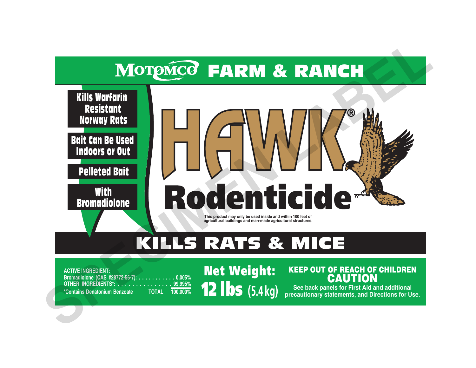# MOTOMCO FARM & RANCH



# KILLS RATS & MICE

**ACTIVE INGREDIENT: Bromadiolone (CAS #28772-56-7):** . . . . . . . . . . . 0.005%<br> **OTHER INGREDIENTS\*: . . . . . . . . . . . . . . . 99.995%**<br> **\*Contains Denatonium Benzoate** TOTAL 100.000% **OTHER INGREDIENTS\*: . . . . . . . . . . \*Contains Denatonium Benzoate TOTAL 100.000%**

Net Weight: 12 lbs **(5.4 kg)**

# KEEP OUT OF REACH OF CHILDREN CAUTION

**See back panels for First Aid and additional precautionary statements, and Directions for Use.**